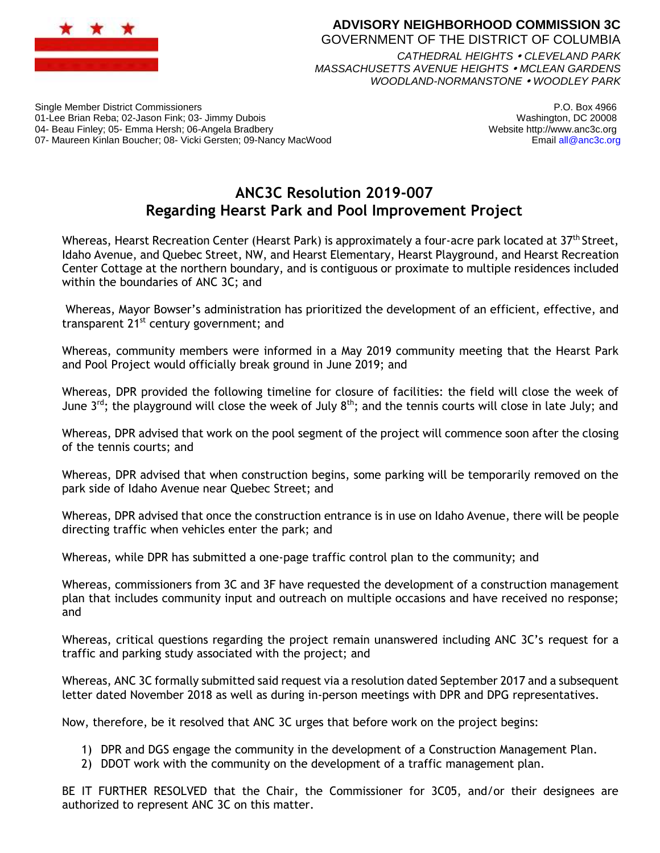

## **ADVISORY NEIGHBORHOOD COMMISSION 3C** GOVERNMENT OF THE DISTRICT OF COLUMBIA *CATHEDRAL HEIGHTS CLEVELAND PARK MASSACHUSETTS AVENUE HEIGHTS MCLEAN GARDENS*

*WOODLAND-NORMANSTONE WOODLEY PARK*

Single Member District Commissioners 01-Lee Brian Reba; 02-Jason Fink; 03- Jimmy Dubois 04- Beau Finley; 05- Emma Hersh; 06-Angela Bradbery 07- Maureen Kinlan Boucher; 08- Vicki Gersten; 09-Nancy MacWood

P.O. Box 4966 Washington, DC 20008 Website http://www.anc3c.org Email all@anc3c.org

## **ANC3C Resolution 2019-007 Regarding Hearst Park and Pool Improvement Project**

Whereas, Hearst Recreation Center (Hearst Park) is approximately a four-acre park located at 37<sup>th</sup> Street, Idaho Avenue, and Quebec Street, NW, and Hearst Elementary, Hearst Playground, and Hearst Recreation Center Cottage at the northern boundary, and is contiguous or proximate to multiple residences included within the boundaries of ANC 3C; and

Whereas, Mayor Bowser's administration has prioritized the development of an efficient, effective, and transparent  $21^{st}$  century government; and

Whereas, community members were informed in a May 2019 community meeting that the Hearst Park and Pool Project would officially break ground in June 2019; and

Whereas, DPR provided the following timeline for closure of facilities: the field will close the week of June  $3^{rd}$ ; the playground will close the week of July  $8^{th}$ ; and the tennis courts will close in late July; and

Whereas, DPR advised that work on the pool segment of the project will commence soon after the closing of the tennis courts; and

Whereas, DPR advised that when construction begins, some parking will be temporarily removed on the park side of Idaho Avenue near Quebec Street; and

Whereas, DPR advised that once the construction entrance is in use on Idaho Avenue, there will be people directing traffic when vehicles enter the park; and

Whereas, while DPR has submitted a one-page traffic control plan to the community; and

Whereas, commissioners from 3C and 3F have requested the development of a construction management plan that includes community input and outreach on multiple occasions and have received no response; and

Whereas, critical questions regarding the project remain unanswered including ANC 3C's request for a traffic and parking study associated with the project; and

Whereas, ANC 3C formally submitted said request via a resolution dated September 2017 and a subsequent letter dated November 2018 as well as during in-person meetings with DPR and DPG representatives.

Now, therefore, be it resolved that ANC 3C urges that before work on the project begins:

- 1) DPR and DGS engage the community in the development of a Construction Management Plan.
- 2) DDOT work with the community on the development of a traffic management plan.

BE IT FURTHER RESOLVED that the Chair, the Commissioner for 3C05, and/or their designees are authorized to represent ANC 3C on this matter.